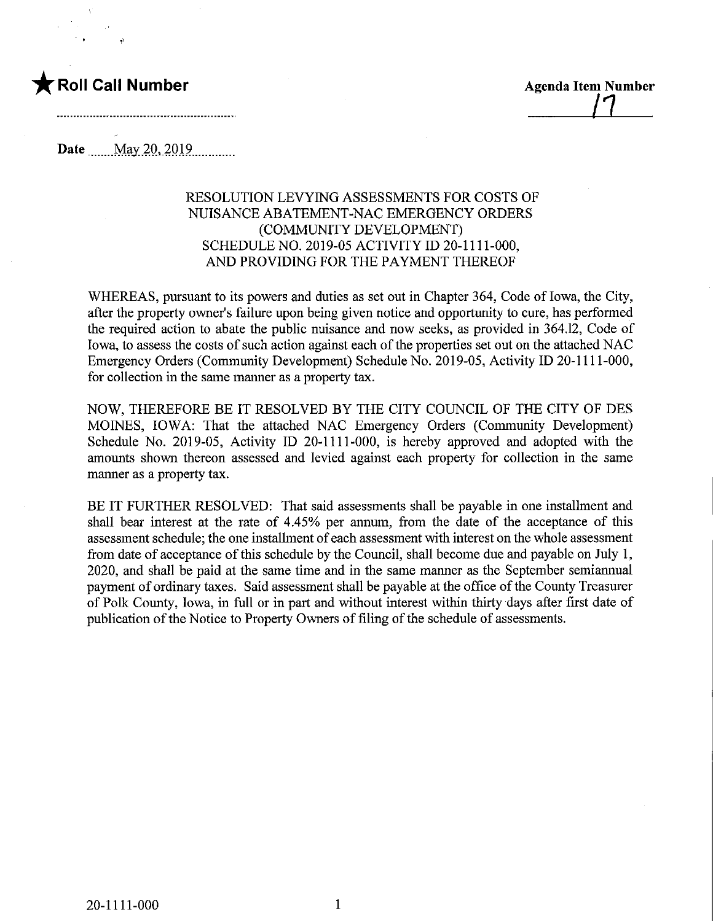

**Date** May 20, 2019

## RESOLUTION LEVYING ASSESSMENTS FOR COSTS OF NUISANCE ABATEMENT-NAC EMERGENCY ORDERS (COMMUNITY DEVELOPMENT) SCHEDULE NO. 2019-05 ACTIVITY ID 20-1111-000, AND PROVIDING FOR THE PAYMENT THEREOF

WHEREAS, pursuant to its powers and duties as set out in Chapter 364, Code of Iowa, the City, after the property owner's failure upon being given notice and opportunity to cure, has performed the required action to abate the public nuisance and now seeks, as provided in 364.12, Code of Iowa, to assess the costs of such action against each of the properties set out on the attached NAC Emergency Orders (Community Development) Schedule No. 2019-05, Activity ID 20-1111-000, for collection in the same manner as a property tax.

NOW, THEREFORE BE IT RESOLVED BY THE CITY COUNCIL OF THE CITY OF DES MOINES, IOWA: That the attached NAC Emergency Orders (Community Development) Schedule No. 2019-05, Activity ID 20-1111-000, is hereby approved and adopted with the amounts shown thereon assessed and levied against each property for collection in the same manner as a property tax.

BE IT FURTHER RESOLVED: That said assessments shall be payable in one installment and shall bear interest at the rate of 4.45% per annum, from the date of the acceptance of this assessment schedule; the one installment of each assessment with interest on the whole assessment from date of acceptance of this schedule by the Council, shall become due and payable on July 1, 2020, and shall be paid at the same time and in the same manner as the September semiannual payment of ordinary taxes. Said assessment shall be payable at the office of the County Treasurer of Polk County, Iowa, in full or in part and without interest within thirty days after first date of publication of the Notice to Property Owners of filing of the schedule of assessments.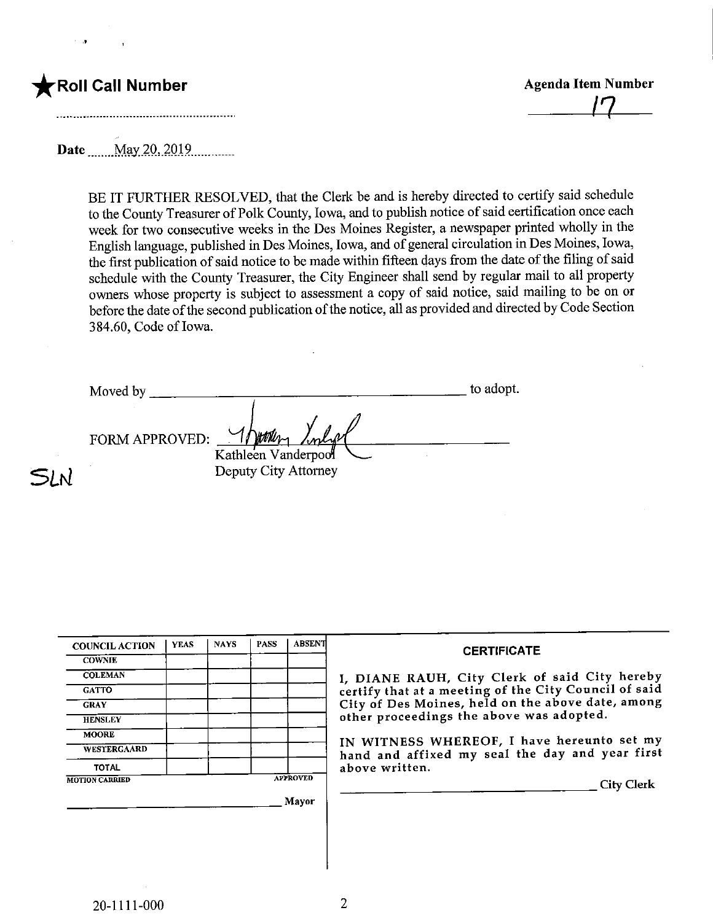## Roll Call Number

SLN

Agenda Item Number  $17$ 

Date May 20, 2019

BE IT FURTHER RESOLVED, that the Clerk be and is hereby directed to certify said schedule to the County Treasurer of Polk County, Iowa, and to publish notice of said certification once each week for two consecutive weeks in the Des Moines Register, a newspaper printed wholly in the English language, published in Des Moines, Iowa, and of general circulation in Des Moines, Iowa, the first publication of said notice to be made within fifteen days from the date of the filing of said schedule with the County Treasurer, the City Engineer shall send by regular mail to all property owners whose property is subject to assessment a copy of said notice, said mailing to be on or before the date of the second publication of the notice, all as provided and directed by Code Section 3 84.60, Code of Iowa.

to adopt. Moved by Vatrin FORM APPROVED: Kathleen Vanderpool Deputy City Attorney

| <b>COUNCIL ACTION</b> | <b>YEAS</b> | <b>NAYS</b> | <b>PASS</b> | <b>ABSENT</b>   | <b>CERTIFICATE</b>                                                                            |
|-----------------------|-------------|-------------|-------------|-----------------|-----------------------------------------------------------------------------------------------|
| <b>COWNIE</b>         |             |             |             |                 |                                                                                               |
| <b>COLEMAN</b>        |             |             |             |                 | I, DIANE RAUH, City Clerk of said City hereby                                                 |
| <b>GATTO</b>          |             |             |             |                 | certify that at a meeting of the City Council of said                                         |
| <b>GRAY</b>           |             |             |             |                 | City of Des Moines, held on the above date, among                                             |
| <b>HENSLEY</b>        |             |             |             |                 | other proceedings the above was adopted.                                                      |
| <b>MOORE</b>          |             |             |             |                 |                                                                                               |
| <b>WESTERGAARD</b>    |             |             |             |                 | IN WITNESS WHEREOF, I have hereunto set my<br>hand and affixed my seal the day and year first |
| <b>TOTAL</b>          |             |             |             |                 | above written.                                                                                |
| <b>MOTION CARRIED</b> |             |             |             | <b>APPROVED</b> | <b>City Clerk</b>                                                                             |
|                       |             |             |             | Mayor           |                                                                                               |
|                       |             |             |             |                 |                                                                                               |
|                       |             |             |             |                 |                                                                                               |
|                       |             |             |             |                 |                                                                                               |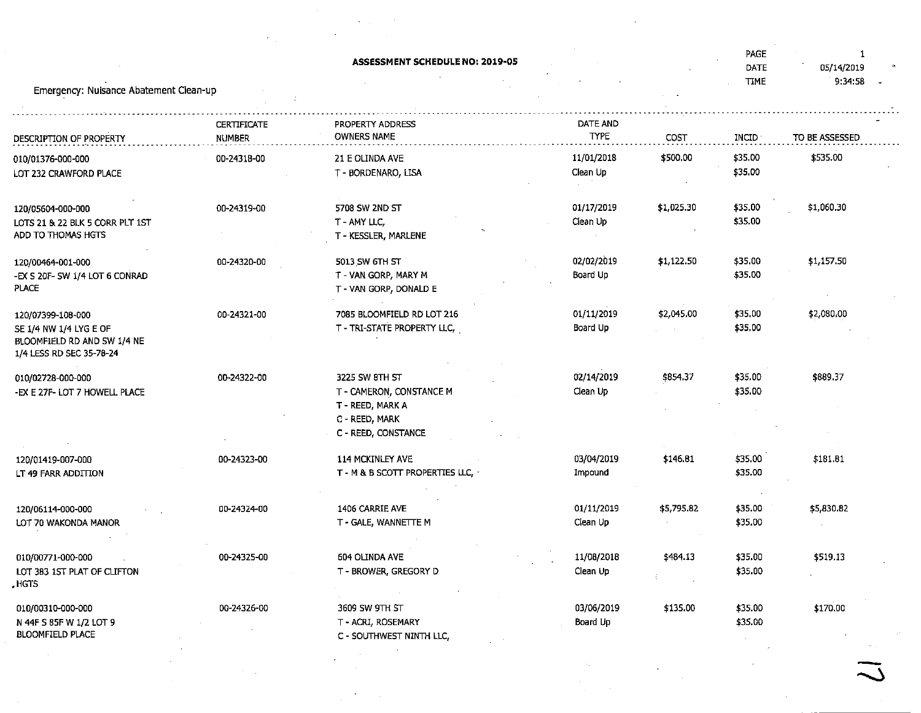|                                                                                                                                                                                                                                                                                                                                                                                                                                                                                          | ASSESSMENT SCHEDULE NO: 2019-05 |            |            | PAGE        | 1              |  |
|------------------------------------------------------------------------------------------------------------------------------------------------------------------------------------------------------------------------------------------------------------------------------------------------------------------------------------------------------------------------------------------------------------------------------------------------------------------------------------------|---------------------------------|------------|------------|-------------|----------------|--|
|                                                                                                                                                                                                                                                                                                                                                                                                                                                                                          |                                 |            |            | DATE        | 05/14/2019     |  |
| Emergency: Nuisance Abatement Clean-up<br><b>CERTIFICATE</b><br><b>NUMBER</b><br>DESCRIPTION OF PROPERTY<br>00-24318-00<br>00-24319-00<br>00-24320-00<br>120/00464-001-000<br>-EX S 20F- SW 1/4 LOT 6 CONRAD<br>00-24321-00<br>00-24322-00<br>010/02728-000-000<br>-EX E 27F- LOT 7 HOWELL PLACE<br>00-24323-00<br>00-24324-00<br>120/06114-000-000<br>LOT 70 WAKONDA MANOR<br>00-24325-00<br>010/00771-000-000<br>LOT 383 1ST PLAT OF CLIFTON<br>00-24326-00<br><b>BLOOMFIELD PLACE</b> |                                 |            |            | <b>TIME</b> | 9:34:58        |  |
|                                                                                                                                                                                                                                                                                                                                                                                                                                                                                          |                                 |            |            |             |                |  |
|                                                                                                                                                                                                                                                                                                                                                                                                                                                                                          | PROPERTY ADDRESS                | DATE AND   |            |             |                |  |
|                                                                                                                                                                                                                                                                                                                                                                                                                                                                                          | <b>OWNERS NAME</b>              | TYPE       | COST       | INCID       | TO BE ASSESSED |  |
|                                                                                                                                                                                                                                                                                                                                                                                                                                                                                          |                                 |            |            |             |                |  |
| 010/01376-000-000                                                                                                                                                                                                                                                                                                                                                                                                                                                                        | 21 E OLINDA AVE                 | 11/01/2018 | \$500.00   | \$35.00     | \$535.00       |  |
| LOT 232 CRAWFORD PLACE                                                                                                                                                                                                                                                                                                                                                                                                                                                                   | T - BORDENARO, LISA             | Clean Up   |            | \$35.00     |                |  |
|                                                                                                                                                                                                                                                                                                                                                                                                                                                                                          |                                 |            |            |             |                |  |
| 120/05604-000-000                                                                                                                                                                                                                                                                                                                                                                                                                                                                        | 5708 SW 2ND ST                  | 01/17/2019 | \$1,025.30 | \$35.00     | \$1,060.30     |  |
| LOTS 21 & 22 BLK 5 CORR PLT 1ST                                                                                                                                                                                                                                                                                                                                                                                                                                                          | T - AMY LLC,                    | Clean Up   |            | \$35.00     |                |  |
| ADD TO THOMAS HGTS                                                                                                                                                                                                                                                                                                                                                                                                                                                                       | T - KESSLER, MARLENE            |            |            |             |                |  |
|                                                                                                                                                                                                                                                                                                                                                                                                                                                                                          | 5013 SW 6TH ST                  | 02/02/2019 | \$1,122.50 | \$35.00     | \$1,157.50     |  |
|                                                                                                                                                                                                                                                                                                                                                                                                                                                                                          | T - VAN GORP, MARY M            | Board Up   |            | \$35.00     |                |  |
| <b>PLACE</b>                                                                                                                                                                                                                                                                                                                                                                                                                                                                             | T - VAN GORP, DONALD E          |            |            |             |                |  |
|                                                                                                                                                                                                                                                                                                                                                                                                                                                                                          |                                 |            |            |             |                |  |
| 120/07399-108-000                                                                                                                                                                                                                                                                                                                                                                                                                                                                        | 7085 BLOOMFIELD RD LOT 216      | 01/11/2019 | \$2,045.00 | \$35.00     | \$2,080.00     |  |
| SE 1/4 NW 1/4 LYG E OF                                                                                                                                                                                                                                                                                                                                                                                                                                                                   | T - TRI-STATE PROPERTY LLC,     | Board Up   |            | \$35.00     |                |  |
| BLOOMFIELD RD AND SW 1/4 NE                                                                                                                                                                                                                                                                                                                                                                                                                                                              |                                 |            |            |             |                |  |
| 1/4 LESS RD SEC 35-78-24                                                                                                                                                                                                                                                                                                                                                                                                                                                                 |                                 |            |            |             |                |  |
|                                                                                                                                                                                                                                                                                                                                                                                                                                                                                          | 3225 SW 8TH ST                  | 02/14/2019 | \$854.37   | \$35.00     | \$889.37       |  |
|                                                                                                                                                                                                                                                                                                                                                                                                                                                                                          | T - CAMERON, CONSTANCE M        | Clean Up   |            | \$35.00     |                |  |
|                                                                                                                                                                                                                                                                                                                                                                                                                                                                                          | T - REED, MARK A                |            |            |             |                |  |
|                                                                                                                                                                                                                                                                                                                                                                                                                                                                                          | C - REED, MARK                  |            |            |             |                |  |
|                                                                                                                                                                                                                                                                                                                                                                                                                                                                                          | C - REED, CONSTANCE             |            |            |             |                |  |
|                                                                                                                                                                                                                                                                                                                                                                                                                                                                                          |                                 |            |            |             |                |  |
| 120/01419-007-000                                                                                                                                                                                                                                                                                                                                                                                                                                                                        | 114 MCKINLEY AVE                | 03/04/2019 | \$146.81   | \$35.00     | \$181.81       |  |
| LT 49 FARR ADDITION                                                                                                                                                                                                                                                                                                                                                                                                                                                                      | T - M & B SCOTT PROPERTIES LLC, | Impound    |            | \$35.00     |                |  |
|                                                                                                                                                                                                                                                                                                                                                                                                                                                                                          |                                 |            |            |             |                |  |
|                                                                                                                                                                                                                                                                                                                                                                                                                                                                                          | 1406 CARRIE AVE                 | 01/11/2019 | \$5,795.82 | \$35.00     | \$5,830.82     |  |
|                                                                                                                                                                                                                                                                                                                                                                                                                                                                                          | T - GALE, WANNETTE M            | Clean Up   |            | \$35.00     |                |  |
|                                                                                                                                                                                                                                                                                                                                                                                                                                                                                          |                                 |            |            |             |                |  |
|                                                                                                                                                                                                                                                                                                                                                                                                                                                                                          | 604 OLINDA AVE                  | 11/08/2018 | \$484.13   | \$35.00     | \$519.13       |  |
|                                                                                                                                                                                                                                                                                                                                                                                                                                                                                          | T - BROWER, GREGORY D           | Clean Up   |            | \$35.00     |                |  |
| , HGTS                                                                                                                                                                                                                                                                                                                                                                                                                                                                                   |                                 |            |            |             |                |  |
|                                                                                                                                                                                                                                                                                                                                                                                                                                                                                          |                                 |            |            |             |                |  |
| 010/00310-000-000                                                                                                                                                                                                                                                                                                                                                                                                                                                                        | 3609 SW 9TH ST                  | 03/06/2019 | \$135.00   | \$35.00     | \$170.00       |  |
| N 44F S 85F W 1/2 LOT 9                                                                                                                                                                                                                                                                                                                                                                                                                                                                  | T - ACRI, ROSEMARY              | Board Up   |            | \$35.00     |                |  |
|                                                                                                                                                                                                                                                                                                                                                                                                                                                                                          | C - SOUTHWEST NINTH LLC,        |            |            |             |                |  |
|                                                                                                                                                                                                                                                                                                                                                                                                                                                                                          |                                 |            |            |             |                |  |
|                                                                                                                                                                                                                                                                                                                                                                                                                                                                                          |                                 |            |            |             |                |  |
|                                                                                                                                                                                                                                                                                                                                                                                                                                                                                          |                                 |            |            |             |                |  |
|                                                                                                                                                                                                                                                                                                                                                                                                                                                                                          |                                 |            |            |             |                |  |
|                                                                                                                                                                                                                                                                                                                                                                                                                                                                                          |                                 |            |            |             |                |  |

 $\overline{C}$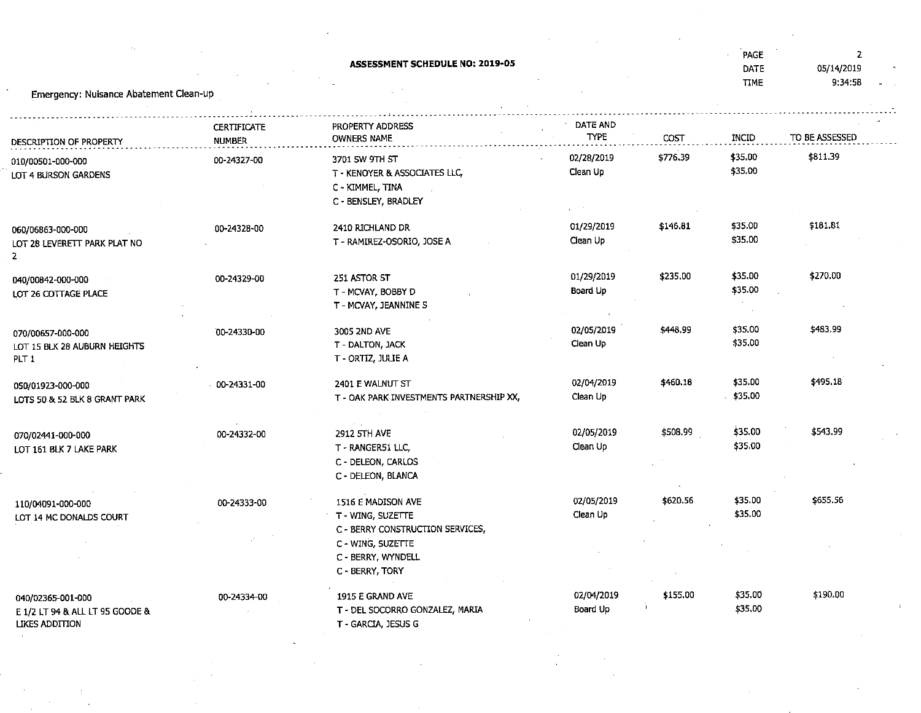| Emergency: Nuisance Abatement Clean-up                                 |                    | <b>ASSESSMENT SCHEDULE NO: 2019-05</b>                                                           |                        |          | PAGE<br>DATE<br><b>TTME</b> | $\overline{2}$<br>05/14/2019<br>9:34:58 |
|------------------------------------------------------------------------|--------------------|--------------------------------------------------------------------------------------------------|------------------------|----------|-----------------------------|-----------------------------------------|
|                                                                        | <b>CERTIFICATE</b> | PROPERTY ADDRESS                                                                                 | DATE AND               |          |                             |                                         |
| DESCRIPTION OF PROPERTY                                                | NUMBER             | <b>OWNERS NAME</b>                                                                               | <b>TYPE</b>            | COST     | INCID                       | TO BE ASSESSED                          |
| 010/00501-000-000<br>LOT 4 BURSON GARDENS                              | 00-24327-00        | 3701 SW 9TH ST<br>T - KENOYER & ASSOCIATES LLC,<br>C - KIMMEL, TINA<br>C - BENSLEY, BRADLEY      | 02/28/2019<br>Clean Up | \$776.39 | \$35.00<br>\$35.00          | \$811.39                                |
| 060/06863-000-000<br>LOT 28 LEVERETT PARK PLAT NO<br>$\overline{2}$    | 00-24328-00        | 2410 RICHLAND DR<br>T - RAMIREZ-OSORIO, JOSE A                                                   | 01/29/2019<br>Clean Up | \$146.81 | \$35.00<br>\$35.00          | \$181.81                                |
| 040/00842-000-000<br>LOT 26 COTTAGE PLACE                              | 00-24329-00        | 251 ASTOR ST<br>T - MCVAY, BOBBY D<br>T - MCVAY, JEANNINE S                                      | 01/29/2019<br>Board Up | \$235.00 | \$35,00<br>\$35.00          | \$270.00                                |
| 070/00657-000-000<br>LOT 15 BLK 28 AUBURN HEIGHTS<br>PLT <sub>1</sub>  | 00-24330-00        | 3005 2ND AVE<br>T - DALTON, JACK<br>T - ORTIZ, JULIE A                                           | 02/05/2019<br>Clean Up | \$448.99 | \$35.00<br>\$35.00          | \$483.99                                |
| 050/01923-000-000<br>LOTS 50 & 52 BLK 8 GRANT PARK                     | 00-24331-00        | 2401 E WALNUT ST<br>T - OAK PARK INVESTMENTS PARTNERSHIP XX,                                     | 02/04/2019<br>Clean Up | \$460.18 | \$35.00<br>\$35.00          | \$495,18                                |
| 070/02441-000-000<br>LOT 161 BLK 7 LAKE PARK                           | 00-24332-00        | 2912 5TH AVE<br>T - RANGER51 LLC,<br>C - DELEON, CARLOS<br>C - DELEON, BLANCA                    | 02/05/2019<br>Clean Up | \$508.99 | \$35.00<br>\$35.00          | \$543.99                                |
| 110/04091-000-000<br>LOT 14 MC DONALDS COURT                           | 00-24333-00        | 1516 E MADISON AVE<br>T - WING, SUZETTE<br>C - BERRY CONSTRUCTION SERVICES,<br>C - WING, SUZETTE | 02/05/2019<br>Clean Up | \$620.56 | \$35.00<br>\$35.00          | \$655.56                                |
|                                                                        |                    | C - BERRY, WYNDELL<br>C - BERRY, TORY                                                            |                        |          |                             |                                         |
| 040/02365-001-000<br>E 1/2 LT 94 & ALL LT 95 GOODE &<br>LIKES ADDITION | 00-24334-00        | 1915 E GRAND AVE<br>T - DEL SOCORRO GONZALEZ, MARIA<br>T - GARCIA, JESUS G                       | 02/04/2019<br>Board Up | \$155.00 | \$35.00<br>\$35.00          | \$190.00                                |

 $\label{eq:2.1} \frac{1}{\sqrt{2\pi}}\int_{\mathbb{R}^3}\frac{1}{\sqrt{2\pi}}\int_{\mathbb{R}^3}\frac{1}{\sqrt{2\pi}}\int_{\mathbb{R}^3}\frac{1}{\sqrt{2\pi}}\int_{\mathbb{R}^3}\frac{1}{\sqrt{2\pi}}\int_{\mathbb{R}^3}\frac{1}{\sqrt{2\pi}}\int_{\mathbb{R}^3}\frac{1}{\sqrt{2\pi}}\int_{\mathbb{R}^3}\frac{1}{\sqrt{2\pi}}\int_{\mathbb{R}^3}\frac{1}{\sqrt{2\pi}}\int_{\mathbb{R}^3}\frac{1$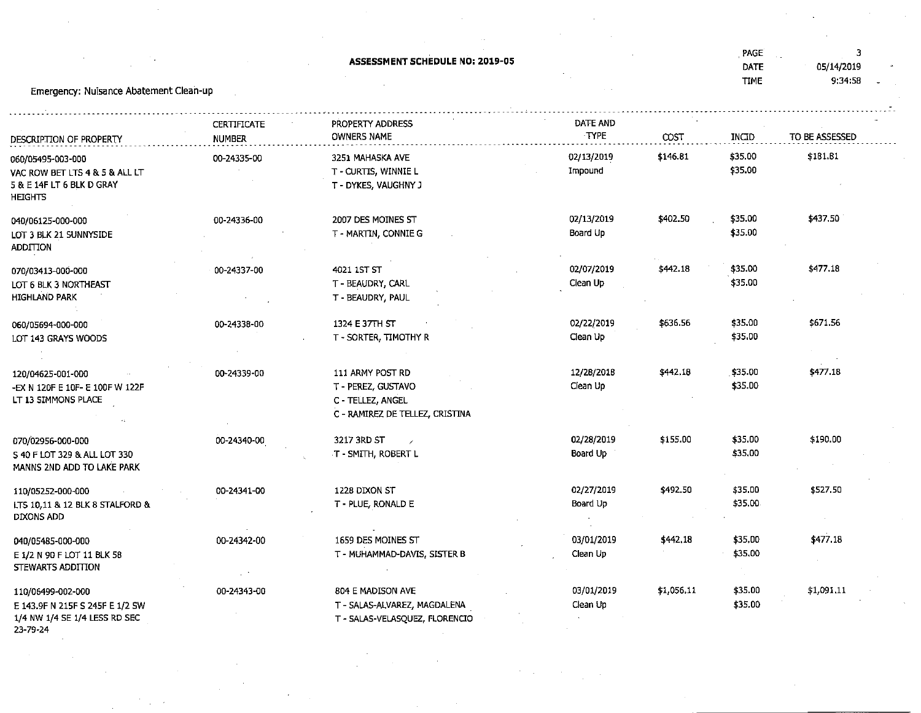|                                               |               | ASSESSMENT SCHEDULE NO: 2019-05 |            |            | , PAGE<br>DATE | 3<br>05/14/2019 |  |  |  |
|-----------------------------------------------|---------------|---------------------------------|------------|------------|----------------|-----------------|--|--|--|
|                                               |               |                                 |            |            | <b>TIME</b>    | 9:34:58         |  |  |  |
| Emergency: Nuisance Abatement Clean-up        |               |                                 |            |            |                |                 |  |  |  |
|                                               |               |                                 |            |            |                |                 |  |  |  |
|                                               | CERTIFICATE   | PROPERTY ADDRESS                | DATE AND   |            |                |                 |  |  |  |
| DESCRIPTION OF PROPERTY                       | <b>NUMBER</b> | <b>OWNERS NAME</b>              | TYPE       | COST       | INCID          | TO BE ASSESSED  |  |  |  |
| 060/05495-003-000                             | 00-24335-00   | 3251 MAHASKA AVE                | 02/13/2019 | \$146.81   | \$35.00        | \$181.B1        |  |  |  |
| VAC ROW BET LTS 4 & 5 & ALL LT                |               | T - CURTIS, WINNIE L            | Impound    |            | \$35.00        |                 |  |  |  |
| 5 & E 14F LT 6 BLK D GRAY                     |               | T - DYKES, VAUGHNY J            |            |            |                |                 |  |  |  |
| <b>HEIGHTS</b>                                |               |                                 |            |            |                |                 |  |  |  |
| 040/06125-000-000                             | 00-24336-00   | 2007 DES MOINES ST              | 02/13/2019 | \$402.50   | \$35.00        | \$437,50        |  |  |  |
| LOT 3 BLK 21 SUNNYSIDE                        |               | T - MARTIN, CONNIE G            | Board Up   |            | \$35.00        |                 |  |  |  |
| <b>ADDITION</b>                               |               |                                 |            |            |                |                 |  |  |  |
|                                               |               |                                 | 02/07/2019 | \$442.18   | \$35.00        | \$477.18        |  |  |  |
| 070/03413-000-000                             | 00-24337-00   | 4021 1ST ST                     | Clean Up   |            | \$35.00        |                 |  |  |  |
| LOT 6 BLK 3 NORTHEAST<br><b>HIGHLAND PARK</b> |               | T - BEAUDRY, CARL               |            |            |                |                 |  |  |  |
|                                               |               | T - BEAUDRY, PAUL               |            |            |                |                 |  |  |  |
| 060/05694-000-000                             | 00-24338-00   | 1324 E 37TH ST                  | 02/22/2019 | \$636.56   | \$35.00        | \$671.56        |  |  |  |
| LOT 143 GRAYS WOODS                           |               | T - SORTER, TIMOTHY R           | Clean Up   |            | \$35.00        |                 |  |  |  |
|                                               |               |                                 |            |            |                |                 |  |  |  |
| 120/04625-001-000                             | 00-24339-00   | 111 ARMY POST RD                | 12/28/2018 | \$442.18   | \$35.00        | \$477.18        |  |  |  |
| -EX N 120F E 10F- E 100F W 122F               |               | T - PEREZ, GUSTAVO              | Clean Up   |            | \$35.00        |                 |  |  |  |
| LT 13 SIMMONS PLACE                           |               | C - TELLEZ, ANGEL               |            |            |                |                 |  |  |  |
|                                               |               | C - RAMIREZ DE TELLEZ, CRISTINA |            |            |                |                 |  |  |  |
|                                               |               |                                 |            |            |                |                 |  |  |  |
| 070/02956-000-000                             | 00-24340-00   | 3217 3RD ST                     | 02/28/2019 | \$155.00   | \$35.00        | \$190.00        |  |  |  |
| S 40 F LOT 329 & ALL LOT 330                  |               | T - SMITH, ROBERT L             | Board Up   |            | \$35,00        |                 |  |  |  |
| MANNS 2ND ADD TO LAKE PARK                    |               |                                 |            |            |                |                 |  |  |  |
| 110/05252-000-000                             | 00-24341-00   | 1228 DIXON ST                   | 02/27/2019 | \$492.50   | \$35.00        | \$527.50        |  |  |  |
| LTS 10,11 & 12 BLK 8 STALFORD &               |               | T - PLUE, RONALD E              | Board Up   |            | \$35.00        |                 |  |  |  |
| DIXONS ADD                                    |               |                                 |            |            |                |                 |  |  |  |
| 040/05485-000-000                             | 00-24342-00   | 1659 DES MOINES ST              | 03/01/2019 | \$442.18   | \$35,00        | \$477.18        |  |  |  |
| E 1/2 N 90 F LOT 11 BLK 58                    |               | T - MUHAMMAD-DAVIS, SISTER B    | Clean Up   |            | \$35.00        |                 |  |  |  |
| STEWARTS ADDITION                             |               |                                 |            |            |                |                 |  |  |  |
|                                               |               |                                 |            |            | $\sim$         |                 |  |  |  |
| 110/06499-002-000                             | 00-24343-00   | 804 E MADISON AVE               | 03/01/2019 | \$1,056.11 | \$35.00        | \$1,091.11      |  |  |  |
| E 143.9F N 215F S 245F E 1/2 SW               |               | T - SALAS-ALVAREZ, MAGDALENA    | Clean Up   |            | \$35,00        |                 |  |  |  |
| 1/4 NW 1/4 SE 1/4 LESS RD SEC<br>23-79-24     |               | T - SALAS-VELASQUEZ, FLORENCIO  |            |            |                |                 |  |  |  |
|                                               |               |                                 |            |            |                |                 |  |  |  |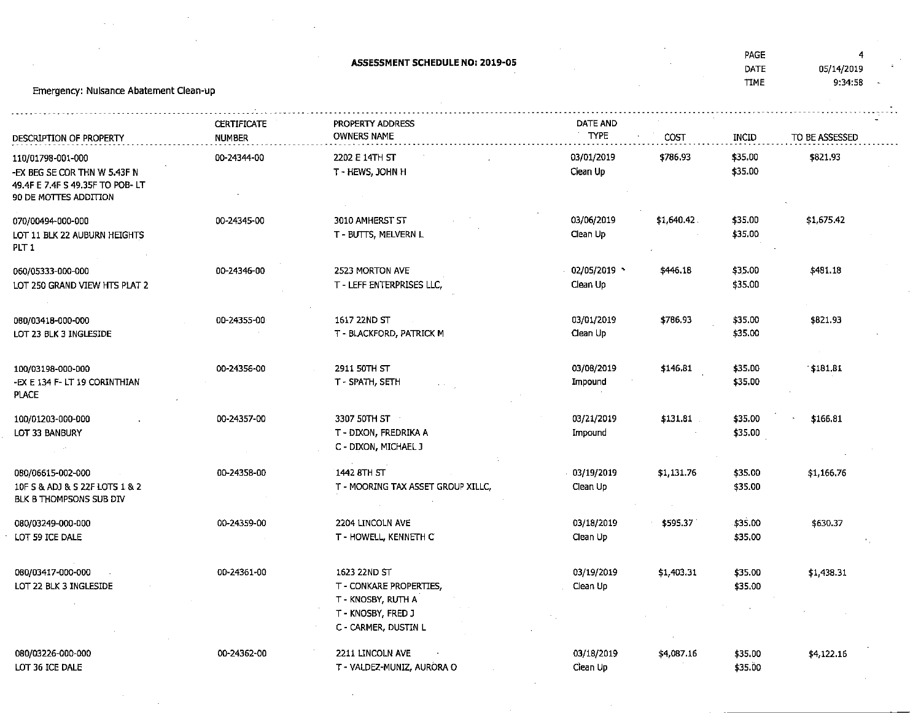|                                                                                                               |                                     | <b>ASSESSMENT SCHEDULE NO: 2019-05</b>                                                                      |                          |            | PAGE<br>DATE<br><b>TIME</b> | 4<br>05/14/2019<br>9:34:58 |
|---------------------------------------------------------------------------------------------------------------|-------------------------------------|-------------------------------------------------------------------------------------------------------------|--------------------------|------------|-----------------------------|----------------------------|
| Emergency: Nulsance Abatement Clean-up                                                                        |                                     |                                                                                                             |                          |            |                             |                            |
| DESCRIPTION OF PROPERTY                                                                                       | <b>CERTIFICATE</b><br><b>NUMBER</b> | PROPERTY ADDRESS<br><b>OWNERS NAME</b>                                                                      | DATE AND<br><b>TYPE</b>  | COST       | INCID                       | TO BE ASSESSED             |
| 110/01798-001-000<br>-ex beg se cor thn W 5.43F N<br>49.4F E 7.4F S 49.35F TO POB-LT<br>90 DE MOTTES ADDITION | 00-24344-00                         | 2202 E 14TH ST<br>T - HEWS, JOHN H                                                                          | 03/01/2019<br>Clean Up   | \$786.93   | \$35.00<br>\$35.00          | \$821.93                   |
| 070/00494-000-000<br>LOT 11 BLK 22 AUBURN HEIGHTS<br>PLT 1                                                    | 00-24345-00                         | 3010 AMHERST ST<br>T - BUTTS, MELVERN L                                                                     | 03/06/2019<br>Clean Up   | \$1,640.42 | \$35.00<br>\$35,00          | \$1,675.42                 |
| 060/05333-000-000<br>LOT 250 GRAND VIEW HTS PLAT 2                                                            | 00-24346-00                         | 2523 MORTON AVE<br>T - LEFF ENTERPRISES LLC,                                                                | 02/05/2019 *<br>Clean Up | \$446.18   | \$35.00<br>\$35.00          | \$481.18                   |
| 080/03418-000-000<br>LOT 23 BLK 3 INGLESIDE                                                                   | 00-24355-00                         | 1617 22ND ST<br>T - BLACKFORD, PATRICK M                                                                    | 03/01/2019<br>Clean Up   | \$786.93   | \$35.00<br>\$35.00          | \$821.93                   |
| 100/03198-000-000<br>-EX E 134 F- LT 19 CORINTHIAN<br><b>PLACE</b>                                            | 00-24356-00                         | 2911 50TH ST<br>T - SPATH, SETH                                                                             | 03/08/2019<br>Impound    | \$146,81   | \$35.00<br>\$35.00          | 181.81                     |
| 100/01203-000-000<br>LOT 33 BANBURY                                                                           | 00-24357-00                         | 3307 50TH ST<br>T - DIXON, FREDRIKA A<br>C - DIXON, MICHAEL J                                               | 03/21/2019<br>Impound    | \$131.81   | \$35.00<br>\$35.00          | \$166.81                   |
| 080/06615-002-000<br>10F S & ADJ & S 22F LOTS 1 & 2<br>BLK B THOMPSONS SUB DIV                                | 00-24358-00                         | 1442 8TH ST<br>T - MOORING TAX ASSET GROUP XILLC,                                                           | 03/19/2019<br>Clean Up   | \$1,131.76 | \$35.00<br>\$35.00          | \$1,166.76                 |
| 080/03249-000-000<br>LOT 59 ICE DALE                                                                          | 00-24359-00                         | 2204 LINCOLN AVE<br>T - HOWELL, KENNETH C                                                                   | 03/18/2019<br>Clean Up   | \$595.37   | \$35.00<br>\$35,00          | \$630.37                   |
| 080/03417-000-000<br>LOT 22 BLK 3 INGLESIDE                                                                   | 00-24361-00                         | 1623 22ND ST<br>T - CONKARE PROPERTIES,<br>T - KNOSBY, RUTH A<br>T - KNOSBY, FRED J<br>C - CARMER, DUSTIN L | 03/19/2019<br>Clean Up   | \$1,403.31 | \$35.00<br>\$35.00          | \$1,438.31                 |
| 080/03226-000-000<br>LOT 36 ICE DALE                                                                          | 00-24362-00                         | 2211 LINCOLN AVE<br>T - VALDEZ-MUNIZ, AURORA O                                                              | 03/18/2019<br>Clean Up   | \$4,087.16 | \$35.00<br>\$35.00          | \$4,122.16                 |

 $\mathcal{L}^{\text{max}}_{\text{max}}$ 

 $\label{eq:2.1} \frac{1}{\sqrt{2\pi}}\int_{\mathbb{R}^3}\frac{1}{\sqrt{2\pi}}\int_{\mathbb{R}^3}\frac{1}{\sqrt{2\pi}}\int_{\mathbb{R}^3}\frac{1}{\sqrt{2\pi}}\int_{\mathbb{R}^3}\frac{1}{\sqrt{2\pi}}\int_{\mathbb{R}^3}\frac{1}{\sqrt{2\pi}}\int_{\mathbb{R}^3}\frac{1}{\sqrt{2\pi}}\int_{\mathbb{R}^3}\frac{1}{\sqrt{2\pi}}\int_{\mathbb{R}^3}\frac{1}{\sqrt{2\pi}}\int_{\mathbb{R}^3}\frac{1$ 

 $\mathcal{L}^{\text{max}}_{\text{max}}$ 

 $\sim 10^{11}$  km  $^{-1}$ 

 $\label{eq:2} \frac{1}{\sqrt{2}}\sum_{i=1}^n\frac{1}{\sqrt{2}}\sum_{i=1}^n\frac{1}{\sqrt{2}}\sum_{i=1}^n\frac{1}{\sqrt{2}}\sum_{i=1}^n\frac{1}{\sqrt{2}}\sum_{i=1}^n\frac{1}{\sqrt{2}}\sum_{i=1}^n\frac{1}{\sqrt{2}}\sum_{i=1}^n\frac{1}{\sqrt{2}}\sum_{i=1}^n\frac{1}{\sqrt{2}}\sum_{i=1}^n\frac{1}{\sqrt{2}}\sum_{i=1}^n\frac{1}{\sqrt{2}}\sum_{i=1}^n\frac{1$